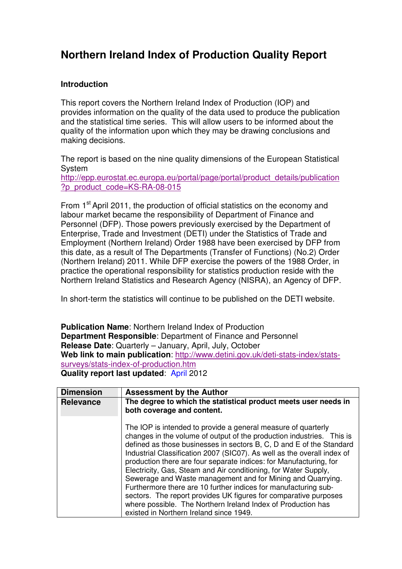## **Northern Ireland Index of Production Quality Report**

## **Introduction**

 This report covers the Northern Ireland Index of Production (IOP) and provides information on the quality of the data used to produce the publication and the statistical time series. This will allow users to be informed about the quality of the information upon which they may be drawing conclusions and making decisions.

 The report is based on the nine quality dimensions of the European Statistical System http://epp.eurostat.ec.europa.eu/portal/page/portal/product\_details/publication ?p\_product\_code=KS-RA-08-015

From 1<sup>st</sup> April 2011, the production of official statistics on the economy and labour market became the responsibility of Department of Finance and Personnel (DFP). Those powers previously exercised by the Department of Enterprise, Trade and Investment (DETI) under the Statistics of Trade and Employment (Northern Ireland) Order 1988 have been exercised by DFP from this date, as a result of The Departments (Transfer of Functions) (No.2) Order (Northern Ireland) 2011. While DFP exercise the powers of the 1988 Order, in practice the operational responsibility for statistics production reside with the Northern Ireland Statistics and Research Agency (NISRA), an Agency of DFP.

In short-term the statistics will continue to be published on the DETI website.

 **Publication Name**: Northern Ireland Index of Production **Department Responsible**: Department of Finance and Personnel **Release Date**: Quarterly – January, April, July, October  **Web link to main publication**: http://www.detini.gov.uk/deti-stats-index/stats- **Quality report last updated**: April 2012 surveys/stats-index-of-production.htm

| <b>Dimension</b> | <b>Assessment by the Author</b>                                                                                                                                                                                                                                                                                                                                                                                                                                                                                                                                                                                                                                                                                                                     |
|------------------|-----------------------------------------------------------------------------------------------------------------------------------------------------------------------------------------------------------------------------------------------------------------------------------------------------------------------------------------------------------------------------------------------------------------------------------------------------------------------------------------------------------------------------------------------------------------------------------------------------------------------------------------------------------------------------------------------------------------------------------------------------|
| <b>Relevance</b> | The degree to which the statistical product meets user needs in<br>both coverage and content.                                                                                                                                                                                                                                                                                                                                                                                                                                                                                                                                                                                                                                                       |
|                  | The IOP is intended to provide a general measure of quarterly<br>changes in the volume of output of the production industries. This is<br>defined as those businesses in sectors B, C, D and E of the Standard<br>Industrial Classification 2007 (SIC07). As well as the overall index of<br>production there are four separate indices: for Manufacturing, for<br>Electricity, Gas, Steam and Air conditioning, for Water Supply,<br>Sewerage and Waste management and for Mining and Quarrying.<br>Furthermore there are 10 further indices for manufacturing sub-<br>sectors. The report provides UK figures for comparative purposes<br>where possible. The Northern Ireland Index of Production has<br>existed in Northern Ireland since 1949. |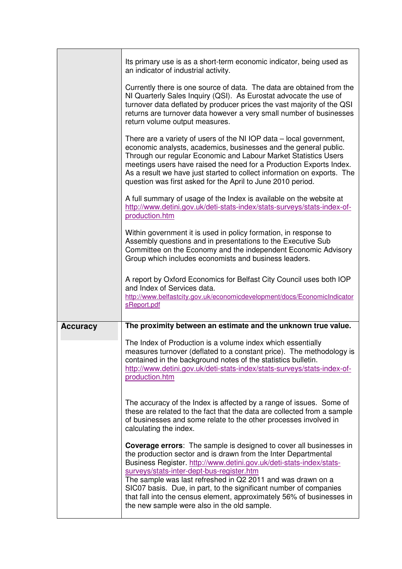|                 | Its primary use is as a short-term economic indicator, being used as<br>an indicator of industrial activity.                                                                                                                                                                                                                                                                                                                |
|-----------------|-----------------------------------------------------------------------------------------------------------------------------------------------------------------------------------------------------------------------------------------------------------------------------------------------------------------------------------------------------------------------------------------------------------------------------|
|                 | Currently there is one source of data. The data are obtained from the<br>NI Quarterly Sales Inquiry (QSI). As Eurostat advocate the use of<br>turnover data deflated by producer prices the vast majority of the QSI<br>returns are turnover data however a very small number of businesses<br>return volume output measures.                                                                                               |
|                 | There are a variety of users of the NI IOP data – local government,<br>economic analysts, academics, businesses and the general public.<br>Through our regular Economic and Labour Market Statistics Users<br>meetings users have raised the need for a Production Exports Index.<br>As a result we have just started to collect information on exports. The<br>question was first asked for the April to June 2010 period. |
|                 | A full summary of usage of the Index is available on the website at<br>http://www.detini.gov.uk/deti-stats-index/stats-surveys/stats-index-of-<br>production.htm                                                                                                                                                                                                                                                            |
|                 | Within government it is used in policy formation, in response to<br>Assembly questions and in presentations to the Executive Sub<br>Committee on the Economy and the independent Economic Advisory<br>Group which includes economists and business leaders.                                                                                                                                                                 |
|                 | A report by Oxford Economics for Belfast City Council uses both IOP<br>and Index of Services data.<br>http://www.belfastcity.gov.uk/economicdevelopment/docs/EconomicIndicator<br>sReport.pdf                                                                                                                                                                                                                               |
| <b>Accuracy</b> | The proximity between an estimate and the unknown true value.                                                                                                                                                                                                                                                                                                                                                               |
|                 | The Index of Production is a volume index which essentially<br>measures turnover (deflated to a constant price). The methodology is<br>contained in the background notes of the statistics bulletin.<br>http://www.detini.gov.uk/deti-stats-index/stats-surveys/stats-index-of-<br>production.htm                                                                                                                           |
|                 | The accuracy of the Index is affected by a range of issues. Some of<br>these are related to the fact that the data are collected from a sample<br>of businesses and some relate to the other processes involved in<br>calculating the index.                                                                                                                                                                                |
|                 | <b>Coverage errors:</b> The sample is designed to cover all businesses in<br>the production sector and is drawn from the Inter Departmental                                                                                                                                                                                                                                                                                 |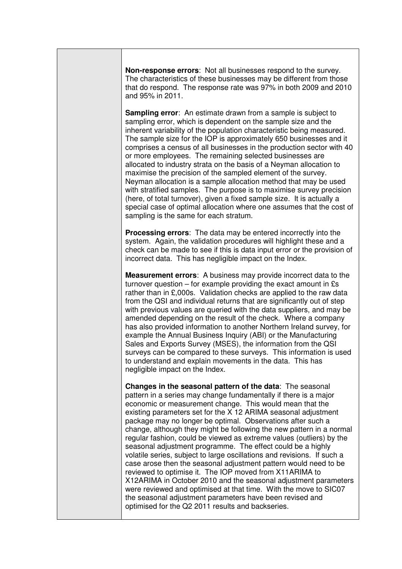**Non-response errors**: Not all businesses respond to the survey. The characteristics of these businesses may be different from those that do respond. The response rate was 97% in both 2009 and 2010 and 95% in 2011.

 **Sampling error**: An estimate drawn from a sample is subject to sampling error, which is dependent on the sample size and the inherent variability of the population characteristic being measured. The sample size for the IOP is approximately 650 businesses and it comprises a census of all businesses in the production sector with 40 or more employees. The remaining selected businesses are allocated to industry strata on the basis of a Neyman allocation to maximise the precision of the sampled element of the survey. Neyman allocation is a sample allocation method that may be used with stratified samples. The purpose is to maximise survey precision (here, of total turnover), given a fixed sample size. It is actually a special case of optimal allocation where one assumes that the cost of sampling is the same for each stratum.

 **Processing errors**: The data may be entered incorrectly into the system. Again, the validation procedures will highlight these and a check can be made to see if this is data input error or the provision of incorrect data. This has negligible impact on the Index.

 **Measurement errors**: A business may provide incorrect data to the turnover question – for example providing the exact amount in £s rather than in £,000s. Validation checks are applied to the raw data from the QSI and individual returns that are significantly out of step with previous values are queried with the data suppliers, and may be amended depending on the result of the check. Where a company has also provided information to another Northern Ireland survey, for example the Annual Business Inquiry (ABI) or the Manufacturing Sales and Exports Survey (MSES), the information from the QSI surveys can be compared to these surveys. This information is used to understand and explain movements in the data. This has negligible impact on the Index.

 **Changes in the seasonal pattern of the data**: The seasonal pattern in a series may change fundamentally if there is a major economic or measurement change. This would mean that the existing parameters set for the X 12 ARIMA seasonal adjustment package may no longer be optimal. Observations after such a change, although they might be following the new pattern in a normal regular fashion, could be viewed as extreme values (outliers) by the seasonal adjustment programme. The effect could be a highly volatile series, subject to large oscillations and revisions. If such a case arose then the seasonal adjustment pattern would need to be reviewed to optimise it. The IOP moved from X11ARIMA to X12ARIMA in October 2010 and the seasonal adjustment parameters were reviewed and optimised at that time. With the move to SIC07 the seasonal adjustment parameters have been revised and optimised for the Q2 2011 results and backseries.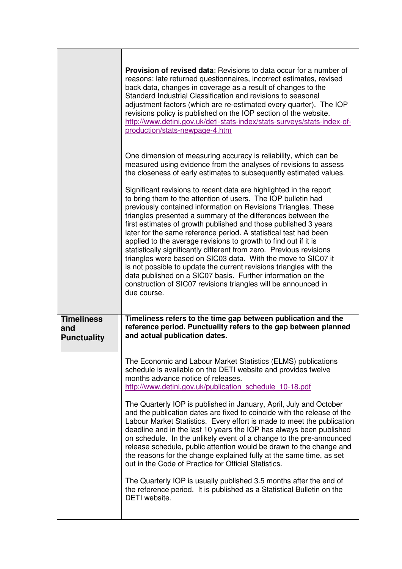|                                                | <b>Provision of revised data:</b> Revisions to data occur for a number of<br>reasons: late returned questionnaires, incorrect estimates, revised<br>back data, changes in coverage as a result of changes to the<br>Standard Industrial Classification and revisions to seasonal<br>adjustment factors (which are re-estimated every quarter). The IOP<br>revisions policy is published on the IOP section of the website.<br>http://www.detini.gov.uk/deti-stats-index/stats-surveys/stats-index-of-<br>production/stats-newpage-4.htm                                                                                                                                                                                                                                                                                                                                                                                                                                         |
|------------------------------------------------|---------------------------------------------------------------------------------------------------------------------------------------------------------------------------------------------------------------------------------------------------------------------------------------------------------------------------------------------------------------------------------------------------------------------------------------------------------------------------------------------------------------------------------------------------------------------------------------------------------------------------------------------------------------------------------------------------------------------------------------------------------------------------------------------------------------------------------------------------------------------------------------------------------------------------------------------------------------------------------|
|                                                | One dimension of measuring accuracy is reliability, which can be<br>measured using evidence from the analyses of revisions to assess<br>the closeness of early estimates to subsequently estimated values.                                                                                                                                                                                                                                                                                                                                                                                                                                                                                                                                                                                                                                                                                                                                                                      |
|                                                | Significant revisions to recent data are highlighted in the report<br>to bring them to the attention of users. The IOP bulletin had<br>previously contained information on Revisions Triangles. These<br>triangles presented a summary of the differences between the<br>first estimates of growth published and those published 3 years<br>later for the same reference period. A statistical test had been<br>applied to the average revisions to growth to find out if it is<br>statistically significantly different from zero. Previous revisions<br>triangles were based on SIC03 data. With the move to SIC07 it<br>is not possible to update the current revisions triangles with the<br>data published on a SIC07 basis. Further information on the<br>construction of SIC07 revisions triangles will be announced in<br>due course.                                                                                                                                   |
| <b>Timeliness</b><br>and<br><b>Punctuality</b> | Timeliness refers to the time gap between publication and the<br>reference period. Punctuality refers to the gap between planned<br>and actual publication dates.                                                                                                                                                                                                                                                                                                                                                                                                                                                                                                                                                                                                                                                                                                                                                                                                               |
|                                                | The Economic and Labour Market Statistics (ELMS) publications<br>schedule is available on the DETI website and provides twelve<br>months advance notice of releases.<br>http://www.detini.gov.uk/publication schedule 10-18.pdf<br>The Quarterly IOP is published in January, April, July and October<br>and the publication dates are fixed to coincide with the release of the<br>Labour Market Statistics. Every effort is made to meet the publication<br>deadline and in the last 10 years the IOP has always been published<br>on schedule. In the unlikely event of a change to the pre-announced<br>release schedule, public attention would be drawn to the change and<br>the reasons for the change explained fully at the same time, as set<br>out in the Code of Practice for Official Statistics.<br>The Quarterly IOP is usually published 3.5 months after the end of<br>the reference period. It is published as a Statistical Bulletin on the<br>DETI website. |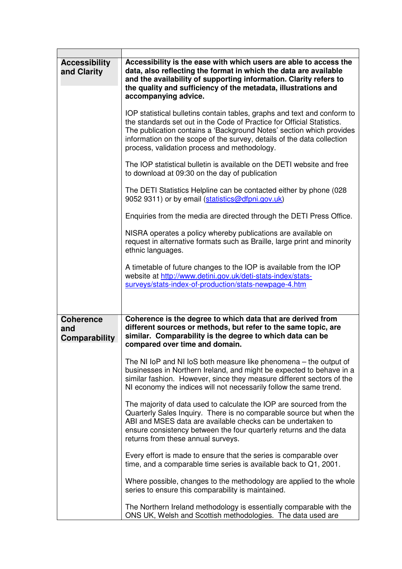| <b>Accessibility</b><br>and Clarity      | Accessibility is the ease with which users are able to access the<br>data, also reflecting the format in which the data are available<br>and the availability of supporting information. Clarity refers to<br>the quality and sufficiency of the metadata, illustrations and<br>accompanying advice.                                                 |
|------------------------------------------|------------------------------------------------------------------------------------------------------------------------------------------------------------------------------------------------------------------------------------------------------------------------------------------------------------------------------------------------------|
|                                          | IOP statistical bulletins contain tables, graphs and text and conform to<br>the standards set out in the Code of Practice for Official Statistics.<br>The publication contains a 'Background Notes' section which provides<br>information on the scope of the survey, details of the data collection<br>process, validation process and methodology. |
|                                          | The IOP statistical bulletin is available on the DETI website and free<br>to download at 09:30 on the day of publication                                                                                                                                                                                                                             |
|                                          | The DETI Statistics Helpline can be contacted either by phone (028)<br>9052 9311) or by email (statistics@dfpni.gov.uk)                                                                                                                                                                                                                              |
|                                          | Enquiries from the media are directed through the DETI Press Office.                                                                                                                                                                                                                                                                                 |
|                                          | NISRA operates a policy whereby publications are available on<br>request in alternative formats such as Braille, large print and minority<br>ethnic languages.                                                                                                                                                                                       |
|                                          | A timetable of future changes to the IOP is available from the IOP<br>website at http://www.detini.gov.uk/deti-stats-index/stats-<br>surveys/stats-index-of-production/stats-newpage-4.htm                                                                                                                                                           |
| <b>Coherence</b><br>and<br>Comparability | Coherence is the degree to which data that are derived from<br>different sources or methods, but refer to the same topic, are<br>similar. Comparability is the degree to which data can be<br>compared over time and domain.                                                                                                                         |
|                                          | The NI IoP and NI IoS both measure like phenomena – the output of<br>businesses in Northern Ireland, and might be expected to behave in a<br>similar fashion. However, since they measure different sectors of the<br>NI economy the indices will not necessarily follow the same trend.                                                             |
|                                          | The majority of data used to calculate the IOP are sourced from the<br>Quarterly Sales Inquiry. There is no comparable source but when the<br>ABI and MSES data are available checks can be undertaken to<br>ensure consistency between the four quarterly returns and the data<br>returns from these annual surveys.                                |
|                                          | Every effort is made to ensure that the series is comparable over<br>time, and a comparable time series is available back to Q1, 2001.                                                                                                                                                                                                               |
|                                          | Where possible, changes to the methodology are applied to the whole<br>series to ensure this comparability is maintained.                                                                                                                                                                                                                            |
|                                          | The Northern Ireland methodology is essentially comparable with the<br>ONS UK, Welsh and Scottish methodologies. The data used are                                                                                                                                                                                                                   |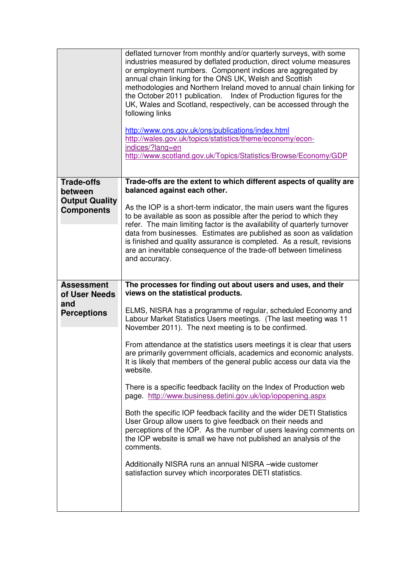|                                  | deflated turnover from monthly and/or quarterly surveys, with some<br>industries measured by deflated production, direct volume measures<br>or employment numbers. Component indices are aggregated by<br>annual chain linking for the ONS UK, Welsh and Scottish<br>methodologies and Northern Ireland moved to annual chain linking for<br>the October 2011 publication. Index of Production figures for the<br>UK, Wales and Scotland, respectively, can be accessed through the<br>following links<br>http://www.ons.gov.uk/ons/publications/index.html<br>http://wales.gov.uk/topics/statistics/theme/economy/econ-<br>indices/?lang=en<br>http://www.scotland.gov.uk/Topics/Statistics/Browse/Economy/GDP |
|----------------------------------|-----------------------------------------------------------------------------------------------------------------------------------------------------------------------------------------------------------------------------------------------------------------------------------------------------------------------------------------------------------------------------------------------------------------------------------------------------------------------------------------------------------------------------------------------------------------------------------------------------------------------------------------------------------------------------------------------------------------|
| <b>Trade-offs</b>                | Trade-offs are the extent to which different aspects of quality are<br>balanced against each other.                                                                                                                                                                                                                                                                                                                                                                                                                                                                                                                                                                                                             |
| between<br><b>Output Quality</b> |                                                                                                                                                                                                                                                                                                                                                                                                                                                                                                                                                                                                                                                                                                                 |
| <b>Components</b>                | As the IOP is a short-term indicator, the main users want the figures<br>to be available as soon as possible after the period to which they<br>refer. The main limiting factor is the availability of quarterly turnover                                                                                                                                                                                                                                                                                                                                                                                                                                                                                        |
|                                  | data from businesses. Estimates are published as soon as validation                                                                                                                                                                                                                                                                                                                                                                                                                                                                                                                                                                                                                                             |
|                                  | is finished and quality assurance is completed. As a result, revisions<br>are an inevitable consequence of the trade-off between timeliness                                                                                                                                                                                                                                                                                                                                                                                                                                                                                                                                                                     |
|                                  | and accuracy.                                                                                                                                                                                                                                                                                                                                                                                                                                                                                                                                                                                                                                                                                                   |
|                                  |                                                                                                                                                                                                                                                                                                                                                                                                                                                                                                                                                                                                                                                                                                                 |
| <b>Assessment</b>                | The processes for finding out about users and uses, and their                                                                                                                                                                                                                                                                                                                                                                                                                                                                                                                                                                                                                                                   |
|                                  |                                                                                                                                                                                                                                                                                                                                                                                                                                                                                                                                                                                                                                                                                                                 |
| of User Needs                    | views on the statistical products.                                                                                                                                                                                                                                                                                                                                                                                                                                                                                                                                                                                                                                                                              |
| and<br><b>Perceptions</b>        | ELMS, NISRA has a programme of regular, scheduled Economy and<br>Labour Market Statistics Users meetings. (The last meeting was 11<br>November 2011). The next meeting is to be confirmed.                                                                                                                                                                                                                                                                                                                                                                                                                                                                                                                      |
|                                  | From attendance at the statistics users meetings it is clear that users<br>are primarily government officials, academics and economic analysts.<br>It is likely that members of the general public access our data via the<br>website.                                                                                                                                                                                                                                                                                                                                                                                                                                                                          |
|                                  | There is a specific feedback facility on the Index of Production web<br>page. http://www.business.detini.gov.uk/iop/iopopening.aspx                                                                                                                                                                                                                                                                                                                                                                                                                                                                                                                                                                             |
|                                  | Both the specific IOP feedback facility and the wider DETI Statistics<br>User Group allow users to give feedback on their needs and<br>perceptions of the IOP. As the number of users leaving comments on<br>the IOP website is small we have not published an analysis of the<br>comments.                                                                                                                                                                                                                                                                                                                                                                                                                     |
|                                  | Additionally NISRA runs an annual NISRA - wide customer<br>satisfaction survey which incorporates DETI statistics.                                                                                                                                                                                                                                                                                                                                                                                                                                                                                                                                                                                              |